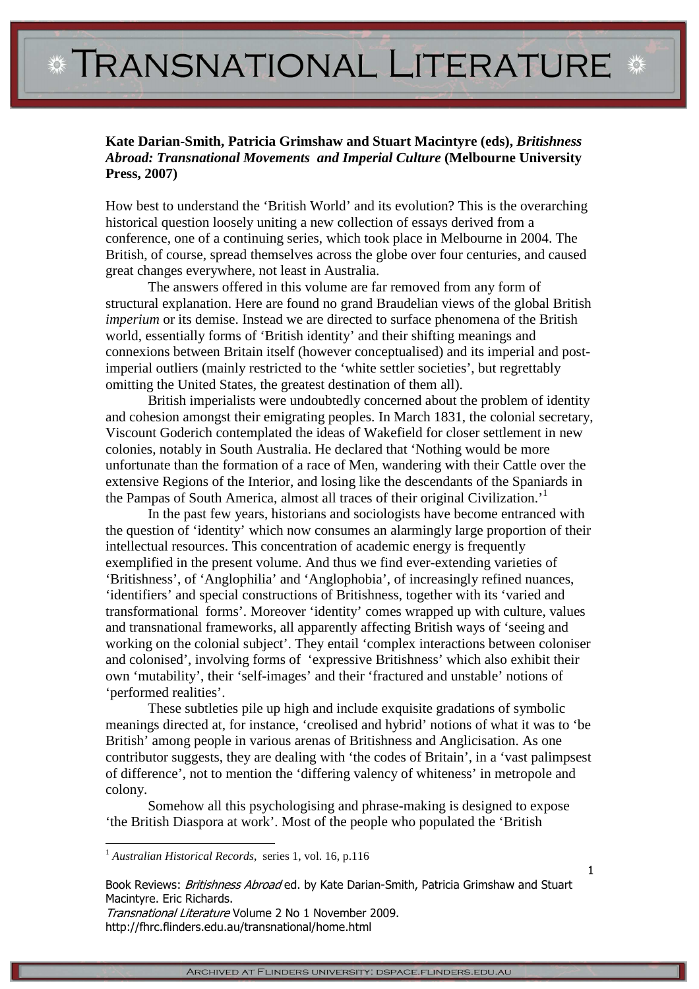## **Kate Darian-Smith, Patricia Grimshaw and Stuart Macintyre (eds),** *Britishness Abroad: Transnational Movements and Imperial Culture* **(Melbourne University Press, 2007)**

How best to understand the 'British World' and its evolution? This is the overarching historical question loosely uniting a new collection of essays derived from a conference, one of a continuing series, which took place in Melbourne in 2004. The British, of course, spread themselves across the globe over four centuries, and caused great changes everywhere, not least in Australia.

The answers offered in this volume are far removed from any form of structural explanation. Here are found no grand Braudelian views of the global British *imperium* or its demise. Instead we are directed to surface phenomena of the British world, essentially forms of 'British identity' and their shifting meanings and connexions between Britain itself (however conceptualised) and its imperial and postimperial outliers (mainly restricted to the 'white settler societies', but regrettably omitting the United States, the greatest destination of them all).

British imperialists were undoubtedly concerned about the problem of identity and cohesion amongst their emigrating peoples. In March 1831, the colonial secretary, Viscount Goderich contemplated the ideas of Wakefield for closer settlement in new colonies, notably in South Australia. He declared that 'Nothing would be more unfortunate than the formation of a race of Men, wandering with their Cattle over the extensive Regions of the Interior, and losing like the descendants of the Spaniards in the Pampas of South America, almost all traces of their original Civilization.'<sup>1</sup>

In the past few years, historians and sociologists have become entranced with the question of 'identity' which now consumes an alarmingly large proportion of their intellectual resources. This concentration of academic energy is frequently exemplified in the present volume. And thus we find ever-extending varieties of 'Britishness', of 'Anglophilia' and 'Anglophobia', of increasingly refined nuances, 'identifiers' and special constructions of Britishness, together with its 'varied and transformational forms'. Moreover 'identity' comes wrapped up with culture, values and transnational frameworks, all apparently affecting British ways of 'seeing and working on the colonial subject'. They entail 'complex interactions between coloniser and colonised', involving forms of 'expressive Britishness' which also exhibit their own 'mutability', their 'self-images' and their 'fractured and unstable' notions of 'performed realities'.

These subtleties pile up high and include exquisite gradations of symbolic meanings directed at, for instance, 'creolised and hybrid' notions of what it was to 'be British' among people in various arenas of Britishness and Anglicisation. As one contributor suggests, they are dealing with 'the codes of Britain', in a 'vast palimpsest of difference', not to mention the 'differing valency of whiteness' in metropole and colony.

Somehow all this psychologising and phrase-making is designed to expose 'the British Diaspora at work'. Most of the people who populated the 'British

-

Book Reviews: *Britishness Abroad* ed. by Kate Darian-Smith, Patricia Grimshaw and Stuart Macintyre. Eric Richards.

1

Transnational Literature Volume 2 No 1 November 2009. http://fhrc.flinders.edu.au/transnational/home.html

ARCHIVED AT FLINDERS UNIVERSITY: DSPACE.FLINDERS.EDU.AU

<sup>1</sup> *Australian Historical Records*, series 1, vol. 16, p.116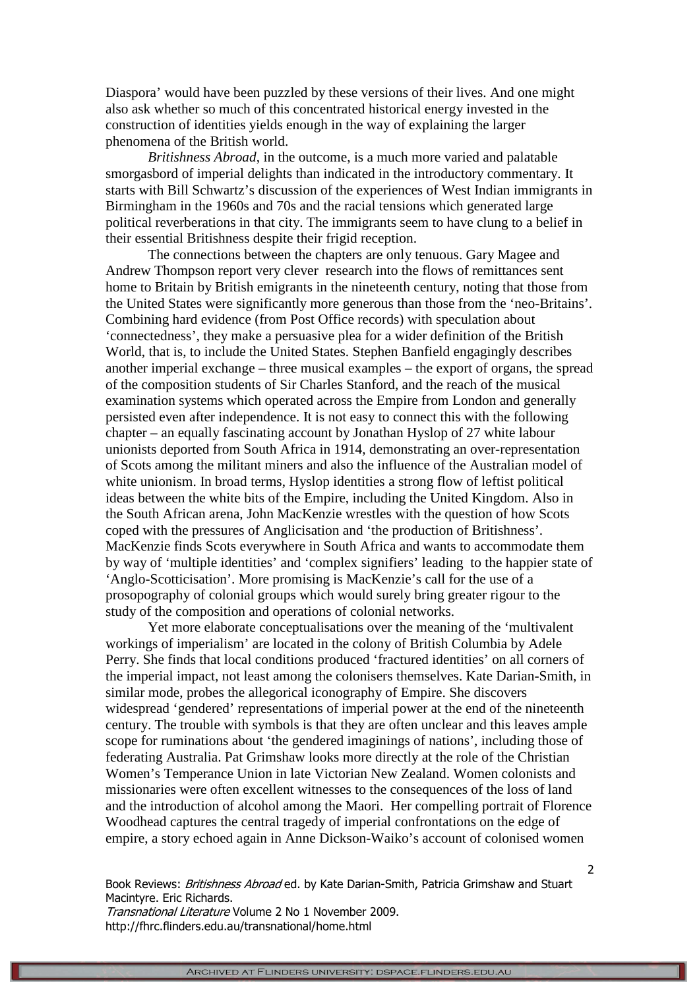Diaspora' would have been puzzled by these versions of their lives. And one might also ask whether so much of this concentrated historical energy invested in the construction of identities yields enough in the way of explaining the larger phenomena of the British world.

*Britishness Abroad*, in the outcome, is a much more varied and palatable smorgasbord of imperial delights than indicated in the introductory commentary. It starts with Bill Schwartz's discussion of the experiences of West Indian immigrants in Birmingham in the 1960s and 70s and the racial tensions which generated large political reverberations in that city. The immigrants seem to have clung to a belief in their essential Britishness despite their frigid reception.

The connections between the chapters are only tenuous. Gary Magee and Andrew Thompson report very clever research into the flows of remittances sent home to Britain by British emigrants in the nineteenth century, noting that those from the United States were significantly more generous than those from the 'neo-Britains'. Combining hard evidence (from Post Office records) with speculation about 'connectedness', they make a persuasive plea for a wider definition of the British World, that is, to include the United States. Stephen Banfield engagingly describes another imperial exchange – three musical examples – the export of organs, the spread of the composition students of Sir Charles Stanford, and the reach of the musical examination systems which operated across the Empire from London and generally persisted even after independence. It is not easy to connect this with the following chapter – an equally fascinating account by Jonathan Hyslop of 27 white labour unionists deported from South Africa in 1914, demonstrating an over-representation of Scots among the militant miners and also the influence of the Australian model of white unionism. In broad terms, Hyslop identities a strong flow of leftist political ideas between the white bits of the Empire, including the United Kingdom. Also in the South African arena, John MacKenzie wrestles with the question of how Scots coped with the pressures of Anglicisation and 'the production of Britishness'. MacKenzie finds Scots everywhere in South Africa and wants to accommodate them by way of 'multiple identities' and 'complex signifiers' leading to the happier state of 'Anglo-Scotticisation'. More promising is MacKenzie's call for the use of a prosopography of colonial groups which would surely bring greater rigour to the study of the composition and operations of colonial networks.

Yet more elaborate conceptualisations over the meaning of the 'multivalent workings of imperialism' are located in the colony of British Columbia by Adele Perry. She finds that local conditions produced 'fractured identities' on all corners of the imperial impact, not least among the colonisers themselves. Kate Darian-Smith, in similar mode, probes the allegorical iconography of Empire. She discovers widespread 'gendered' representations of imperial power at the end of the nineteenth century. The trouble with symbols is that they are often unclear and this leaves ample scope for ruminations about 'the gendered imaginings of nations', including those of federating Australia. Pat Grimshaw looks more directly at the role of the Christian Women's Temperance Union in late Victorian New Zealand. Women colonists and missionaries were often excellent witnesses to the consequences of the loss of land and the introduction of alcohol among the Maori. Her compelling portrait of Florence Woodhead captures the central tragedy of imperial confrontations on the edge of empire, a story echoed again in Anne Dickson-Waiko's account of colonised women

Book Reviews: *Britishness Abroad* ed. by Kate Darian-Smith, Patricia Grimshaw and Stuart Macintyre. Eric Richards.

Transnational Literature Volume 2 No 1 November 2009. http://fhrc.flinders.edu.au/transnational/home.html

2